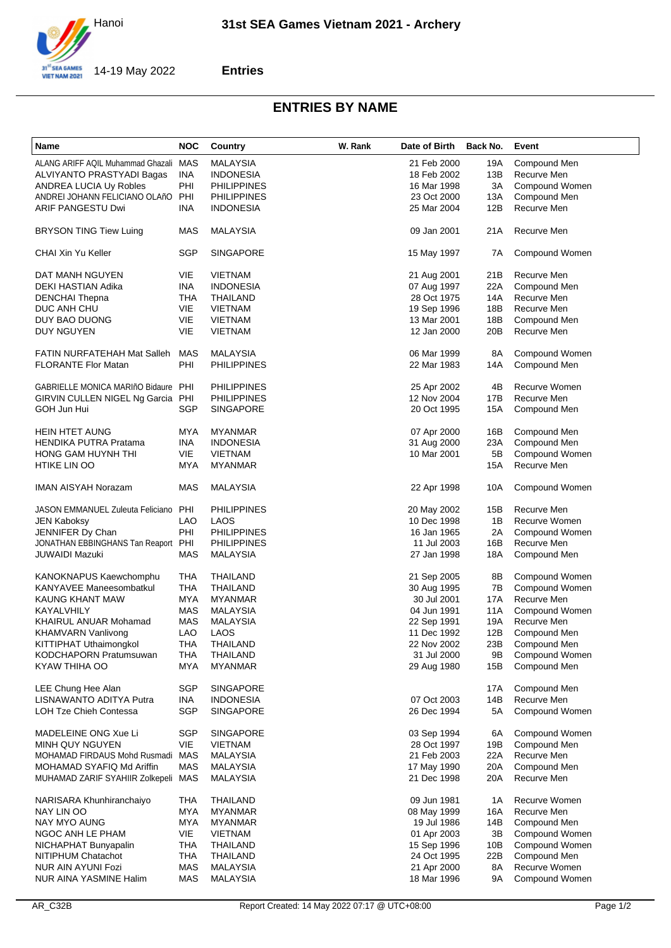

## **Entries**

## **ENTRIES BY NAME**

| Name                                | <b>NOC</b> | Country            | W. Rank | Date of Birth | Back No. | Event                |
|-------------------------------------|------------|--------------------|---------|---------------|----------|----------------------|
| ALANG ARIFF AQIL Muhammad Ghazali   | <b>MAS</b> | <b>MALAYSIA</b>    |         | 21 Feb 2000   | 19A      | Compound Men         |
| ALVIYANTO PRASTYADI Bagas           | <b>INA</b> | <b>INDONESIA</b>   |         | 18 Feb 2002   | 13B      | Recurve Men          |
| <b>ANDREA LUCIA Uy Robles</b>       | PHI        | <b>PHILIPPINES</b> |         | 16 Mar 1998   | 3A       | Compound Women       |
| ANDREI JOHANN FELICIANO OLAñO       | PHI        | <b>PHILIPPINES</b> |         | 23 Oct 2000   | 13A      | Compound Men         |
|                                     |            |                    |         |               |          | Recurve Men          |
| ARIF PANGESTU Dwi                   | <b>INA</b> | <b>INDONESIA</b>   |         | 25 Mar 2004   | 12B      |                      |
| <b>BRYSON TING Tiew Luing</b>       | <b>MAS</b> | <b>MALAYSIA</b>    |         | 09 Jan 2001   | 21A      | Recurve Men          |
| <b>CHAI Xin Yu Keller</b>           | SGP        | <b>SINGAPORE</b>   |         | 15 May 1997   | 7A       | Compound Women       |
| DAT MANH NGUYEN                     | VIE        | <b>VIETNAM</b>     |         | 21 Aug 2001   | 21B      | Recurve Men          |
| DEKI HASTIAN Adika                  | <b>INA</b> | <b>INDONESIA</b>   |         | 07 Aug 1997   | 22A      | Compound Men         |
| <b>DENCHAI Thepna</b>               | THA        | THAILAND           |         | 28 Oct 1975   | 14A      | Recurve Men          |
| DUC ANH CHU                         | VIE        | <b>VIETNAM</b>     |         | 19 Sep 1996   | 18B      | Recurve Men          |
| DUY BAO DUONG                       | VIE        | <b>VIETNAM</b>     |         | 13 Mar 2001   | 18B      | Compound Men         |
| DUY NGUYEN                          | VIE        | <b>VIETNAM</b>     |         | 12 Jan 2000   | 20B      | Recurve Men          |
|                                     |            |                    |         |               |          |                      |
| FATIN NURFATEHAH Mat Salleh         | MAS        | <b>MALAYSIA</b>    |         | 06 Mar 1999   | 8A       | Compound Women       |
| <b>FLORANTE Flor Matan</b>          | PHI        | <b>PHILIPPINES</b> |         | 22 Mar 1983   | 14A      | Compound Men         |
| GABRIELLE MONICA MARIñO Bidaure PHI |            | <b>PHILIPPINES</b> |         | 25 Apr 2002   | 4B       | <b>Recurve Women</b> |
| GIRVIN CULLEN NIGEL Ng Garcia PHI   |            | <b>PHILIPPINES</b> |         | 12 Nov 2004   | 17B      | Recurve Men          |
| GOH Jun Hui                         | SGP        | <b>SINGAPORE</b>   |         | 20 Oct 1995   | 15A      | Compound Men         |
|                                     |            |                    |         |               |          |                      |
| <b>HEIN HTET AUNG</b>               | MYA        | <b>MYANMAR</b>     |         | 07 Apr 2000   | 16B      | Compound Men         |
| <b>HENDIKA PUTRA Pratama</b>        | <b>INA</b> | <b>INDONESIA</b>   |         | 31 Aug 2000   | 23A      | Compound Men         |
| HONG GAM HUYNH THI                  | <b>VIE</b> | <b>VIETNAM</b>     |         | 10 Mar 2001   | 5B       | Compound Women       |
| <b>HTIKE LIN OO</b>                 | MYA        | <b>MYANMAR</b>     |         |               | 15A      | Recurve Men          |
|                                     |            |                    |         |               |          |                      |
| <b>IMAN AISYAH Norazam</b>          | MAS        | <b>MALAYSIA</b>    |         | 22 Apr 1998   | 10A      | Compound Women       |
| JASON EMMANUEL Zuleuta Feliciano    | PHI        | <b>PHILIPPINES</b> |         | 20 May 2002   | 15B      | Recurve Men          |
| <b>JEN Kaboksy</b>                  | <b>LAO</b> | LAOS               |         | 10 Dec 1998   | 1B       | Recurve Women        |
| JENNIFER Dy Chan                    | PHI        | <b>PHILIPPINES</b> |         | 16 Jan 1965   | 2A       | Compound Women       |
| JONATHAN EBBINGHANS Tan Reaport PHI |            | <b>PHILIPPINES</b> |         | 11 Jul 2003   | 16B      | Recurve Men          |
| JUWAIDI Mazuki                      | <b>MAS</b> | <b>MALAYSIA</b>    |         | 27 Jan 1998   | 18A      | Compound Men         |
| KANOKNAPUS Kaewchomphu              | THA        | THAILAND           |         | 21 Sep 2005   | 8Β       | Compound Women       |
| KANYAVEE Maneesombatkul             | THA        | THAILAND           |         | 30 Aug 1995   | 7В       | Compound Women       |
| KAUNG KHANT MAW                     | MYA        | <b>MYANMAR</b>     |         | 30 Jul 2001   | 17A      | Recurve Men          |
| KAYALVHILY                          | MAS        | <b>MALAYSIA</b>    |         | 04 Jun 1991   | 11A      | Compound Women       |
|                                     | MAS        |                    |         |               | 19A      | Recurve Men          |
| KHAIRUL ANUAR Mohamad               |            | <b>MALAYSIA</b>    |         | 22 Sep 1991   |          |                      |
| KHAMVARN Vanlivong                  | <b>LAO</b> | LAOS               |         | 11 Dec 1992   | 12B      | Compound Men         |
| KITTIPHAT Uthaimongkol              | THA        | THAILAND           |         | 22 Nov 2002   | 23B      | Compound Men         |
| KODCHAPORN Pratumsuwan              | THA        | THAILAND           |         | 31 Jul 2000   | 9Β       | Compound Women       |
| KYAW THIHA OO                       | <b>MYA</b> | <b>MYANMAR</b>     |         | 29 Aug 1980   | 15B      | Compound Men         |
| LEE Chung Hee Alan                  | <b>SGP</b> | <b>SINGAPORE</b>   |         |               | 17A      | Compound Men         |
| LISNAWANTO ADITYA Putra             | INA        | <b>INDONESIA</b>   |         | 07 Oct 2003   | 14B      | Recurve Men          |
| LOH Tze Chieh Contessa              | <b>SGP</b> | <b>SINGAPORE</b>   |         | 26 Dec 1994   | 5А       | Compound Women       |
| MADELEINE ONG Xue Li                | <b>SGP</b> | <b>SINGAPORE</b>   |         | 03 Sep 1994   | 6A       | Compound Women       |
| MINH QUY NGUYEN                     | VIE        | <b>VIETNAM</b>     |         | 28 Oct 1997   | 19B      | Compound Men         |
| MOHAMAD FIRDAUS Mohd Rusmadi MAS    |            | <b>MALAYSIA</b>    |         | 21 Feb 2003   | 22A      | Recurve Men          |
| MOHAMAD SYAFIQ Md Ariffin           | MAS        | MALAYSIA           |         | 17 May 1990   | 20A      | Compound Men         |
|                                     |            |                    |         |               |          |                      |
| MUHAMAD ZARIF SYAHIIR Zolkepeli MAS |            | MALAYSIA           |         | 21 Dec 1998   | 20A      | Recurve Men          |
| NARISARA Khunhiranchaiyo            | THA        | THAILAND           |         | 09 Jun 1981   | 1A       | Recurve Women        |
| NAY LIN OO                          | <b>MYA</b> | <b>MYANMAR</b>     |         | 08 May 1999   | 16A      | Recurve Men          |
| NAY MYO AUNG                        | MYA        | <b>MYANMAR</b>     |         | 19 Jul 1986   | 14B      | Compound Men         |
| NGOC ANH LE PHAM                    | VIE        | <b>VIETNAM</b>     |         | 01 Apr 2003   | 3B       | Compound Women       |
| NICHAPHAT Bunyapalin                | <b>THA</b> | THAILAND           |         | 15 Sep 1996   | 10B      | Compound Women       |
|                                     |            |                    |         |               |          | Compound Men         |
| NITIPHUM Chatachot                  | THA        | THAILAND           |         | 24 Oct 1995   | 22B      |                      |
| NUR AIN AYUNI Fozi                  | <b>MAS</b> | <b>MALAYSIA</b>    |         | 21 Apr 2000   | 8A       | Recurve Women        |
| NUR AINA YASMINE Halim              | <b>MAS</b> | <b>MALAYSIA</b>    |         | 18 Mar 1996   | 9Α       | Compound Women       |